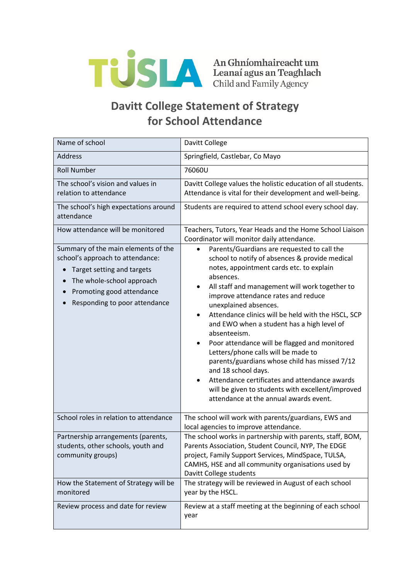

## **Davitt College Statement of Strategy for School Attendance**

| Name of school                                                                                                                                                                                                | Davitt College                                                                                                                                                                                                                                                                                                                                                                                                                                                                                                                                                                                                                                                                                                                                                   |
|---------------------------------------------------------------------------------------------------------------------------------------------------------------------------------------------------------------|------------------------------------------------------------------------------------------------------------------------------------------------------------------------------------------------------------------------------------------------------------------------------------------------------------------------------------------------------------------------------------------------------------------------------------------------------------------------------------------------------------------------------------------------------------------------------------------------------------------------------------------------------------------------------------------------------------------------------------------------------------------|
| Address                                                                                                                                                                                                       | Springfield, Castlebar, Co Mayo                                                                                                                                                                                                                                                                                                                                                                                                                                                                                                                                                                                                                                                                                                                                  |
| <b>Roll Number</b>                                                                                                                                                                                            | 76060U                                                                                                                                                                                                                                                                                                                                                                                                                                                                                                                                                                                                                                                                                                                                                           |
| The school's vision and values in<br>relation to attendance<br>The school's high expectations around                                                                                                          | Davitt College values the holistic education of all students.<br>Attendance is vital for their development and well-being.<br>Students are required to attend school every school day.                                                                                                                                                                                                                                                                                                                                                                                                                                                                                                                                                                           |
| attendance                                                                                                                                                                                                    |                                                                                                                                                                                                                                                                                                                                                                                                                                                                                                                                                                                                                                                                                                                                                                  |
| How attendance will be monitored                                                                                                                                                                              | Teachers, Tutors, Year Heads and the Home School Liaison<br>Coordinator will monitor daily attendance.                                                                                                                                                                                                                                                                                                                                                                                                                                                                                                                                                                                                                                                           |
| Summary of the main elements of the<br>school's approach to attendance:<br>Target setting and targets<br>The whole-school approach<br>$\bullet$<br>Promoting good attendance<br>Responding to poor attendance | Parents/Guardians are requested to call the<br>$\bullet$<br>school to notify of absences & provide medical<br>notes, appointment cards etc. to explain<br>absences.<br>All staff and management will work together to<br>improve attendance rates and reduce<br>unexplained absences.<br>Attendance clinics will be held with the HSCL, SCP<br>$\bullet$<br>and EWO when a student has a high level of<br>absenteeism.<br>Poor attendance will be flagged and monitored<br>$\bullet$<br>Letters/phone calls will be made to<br>parents/guardians whose child has missed 7/12<br>and 18 school days.<br>Attendance certificates and attendance awards<br>$\bullet$<br>will be given to students with excellent/improved<br>attendance at the annual awards event. |
| School roles in relation to attendance                                                                                                                                                                        | The school will work with parents/guardians, EWS and<br>local agencies to improve attendance.                                                                                                                                                                                                                                                                                                                                                                                                                                                                                                                                                                                                                                                                    |
| Partnership arrangements (parents,<br>students, other schools, youth and<br>community groups)                                                                                                                 | The school works in partnership with parents, staff, BOM,<br>Parents Association, Student Council, NYP, The EDGE<br>project, Family Support Services, MindSpace, TULSA,<br>CAMHS, HSE and all community organisations used by<br>Davitt College students                                                                                                                                                                                                                                                                                                                                                                                                                                                                                                         |
| How the Statement of Strategy will be<br>monitored                                                                                                                                                            | The strategy will be reviewed in August of each school<br>year by the HSCL.                                                                                                                                                                                                                                                                                                                                                                                                                                                                                                                                                                                                                                                                                      |
| Review process and date for review                                                                                                                                                                            | Review at a staff meeting at the beginning of each school<br>year                                                                                                                                                                                                                                                                                                                                                                                                                                                                                                                                                                                                                                                                                                |